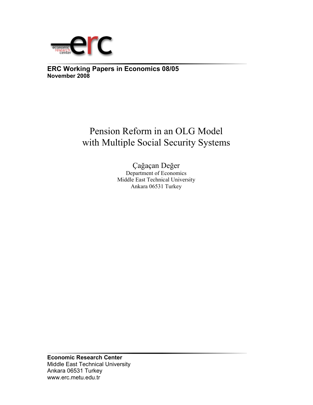

## **ERC Working Papers in Economics 08/05 November 2008**

# Pension Reform in an OLG Model with Multiple Social Security Systems

Çağaçan Değer Department of Economics Middle East Technical University Ankara 06531 Turkey

**Economic Research Center**  Middle East Technical University Ankara 06531 Turkey www.erc.metu.edu.tr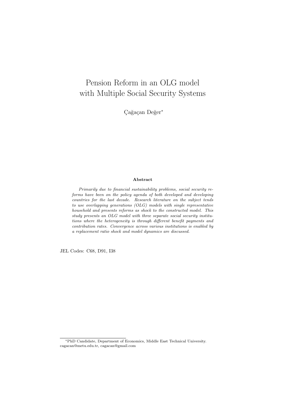## Pension Reform in an OLG model with Multiple Social Security Systems

Cağaçan Değer<sup>∗</sup>

#### Abstract

Primarily due to financial sustainability problems, social security reforms have been on the policy agenda of both developed and developing countries for the last decade. Research literature on the subject tends to use overlapping generations (OLG) models with single representative household and presents reforms as shock to the constructed model. This study presents an OLG model with three separate social security institutions where the heterogeneity is through different benefit payments and contribution rates. Convergence across various institutions is enabled by a replacement ratio shock and model dynamics are discussed.

JEL Codes: C68, D91, I38

<sup>∗</sup>PhD Candidate, Department of Economics, Middle East Technical University. cagacan@metu.edu.tr, cagacan@gmail.com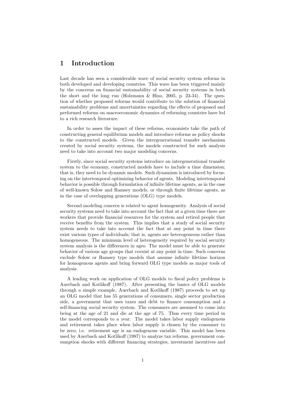## 1 Introduction

Last decade has seen a considerable wave of social security system reforms in both developed and developing countries. This wave has been triggered mainly by the concerns on financial sustainability of social security systems in both the short and the long run (Holzmann  $\&$  Hinz, 2005, p. 23-34). The question of whether proposed reforms would contribute to the solution of financial sustainability problems and uncertainties regarding the effects of proposed and performed reforms on macroeconomic dynamics of reforming countries have led to a rich research literature.

In order to asses the impact of these reforms, economists take the path of constructing general equilibrium models and introduce reforms as policy shocks to the constructed models. Given the intergenerational transfer mechanism created by social security systems, the models constructed for such analysis need to take into account two major modeling concerns.

Firstly, since social security systems introduce an intergenerational transfer system to the economy, constructed models have to include a time dimension; that is, they need to be dynamic models. Such dynamism is introduced by focusing on the intertemporal optimizing behavior of agents. Modeling intertemporal behavior is possible through formulation of infinite lifetime agents, as in the case of well-known Solow and Ramsey models, or through finite lifetime agents, as in the case of overlapping generations (OLG) type models.

Second modeling concern is related to agent homogeneity. Analysis of social security systems need to take into account the fact that at a given time there are workers that provide financial resources for the system and retired people that receive benefits from the system. This implies that a study of social security system needs to take into account the fact that at any point in time there exist various types of individuals; that is, agents are heterogeneous rather than homogeneous. The minimum level of heterogeneity required by social security system analysis is the differences in ages. The model must be able to generate behavior of various age groups that coexist at any point in time. Such concerns exclude Solow or Ramsey type models that assume infinite lifetime horizon for homogenous agents and bring forward OLG type models as major tools of analysis.

A leading work on application of OLG models to fiscal policy problems is Auerbach and Kotlikoff (1987). After presenting the basics of OLG models through a simple example, Auerbach and Kotlikoff (1987) proceeds to set up an OLG model that has 55 generations of consumers, single sector production side, a government that uses taxes and debt to finance consumption and a self-financing social security system. The consumers are assumed to come into being at the age of 21 and die at the age of 75. Thus every time period in the model corresponds to a year. The model takes labor supply endogenous and retirement takes place when labor supply is chosen by the consumer to be zero; i.e. retirement age is an endogenous variable. This model has been used by Auerbach and Kotlikoff (1987) to analyze tax reforms, government consumption shocks with different financing strategies, investment incentives and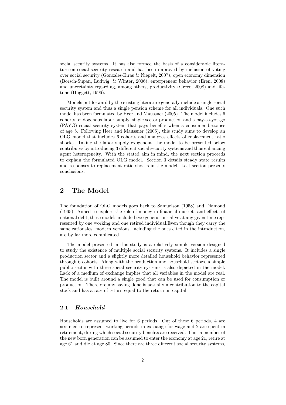social security systems. It has also formed the basis of a considerable literature on social security research and has been improved by inclusion of voting over social security (Gonzales-Eiras & Niepelt, 2007), open economy dimension (Borsch-Supan, Ludwig, & Winter, 2006), enterpreneur behavior (Eren, 2008) and uncertainty regarding, among others, productivity (Greco, 2008) and lifetime (Huggett, 1996).

Models put forward by the existing literature generally include a single social security system and thus a single pension scheme for all individuals. One such model has been formulated by Heer and Maussner (2005). The model includes 6 cohorts, endogenous labor supply, single sector production and a pay-as-you-go (PAYG) social security system that pays benefits when a consumer becomes of age 5. Following Heer and Maussner (2005), this study aims to develop an OLG model that includes 6 cohorts and analyzes effects of replacement ratio shocks. Taking the labor supply exogenous, the model to be presented below contributes by introducing 3 different social security systems and thus enhancing agent heterogeneity. With the stated aim in mind, the next section proceeds to explain the formulated OLG model. Section 3 details steady state results and responses to replacement ratio shocks in the model. Last section presents conclusions.

## 2 The Model

The foundation of OLG models goes back to Samuelson (1958) and Diamond (1965). Aimed to explore the role of money in financial markets and effects of national debt, these models included two generations alive at any given time represented by one working and one retired individual.Even though they carry the same rationales, modern versions, including the ones cited in the introduction, are by far more complicated.

The model presented in this study is a relatively simple version designed to study the existence of multiple social security systems. It includes a single production sector and a slightly more detailed household behavior represented through 6 cohorts. Along with the production and household sectors, a simple public sector with three social security systems is also depicted in the model. Lack of a medium of exchange implies that all variables in the model are real. The model is built around a single good that can be used for consumption or production. Therefore any saving done is actually a contribution to the capital stock and has a rate of return equal to the return on capital.

#### 2.1 Household

Households are assumed to live for 6 periods. Out of these 6 periods, 4 are assumed to represent working periods in exchange for wage and 2 are spent in retirement, during which social security benefits are received. Thus a member of the new born generation can be assumed to enter the economy at age 21, retire at age 61 and die at age 80. Since there are three different social security systems,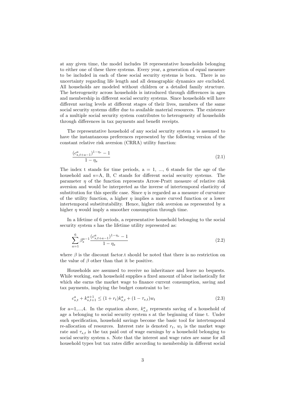at any given time, the model includes 18 representative households belonging to either one of these three systems. Every year, a generation of equal measure to be included in each of these social security systems is born. There is no uncertainty regarding life length and all demographic dynamics are excluded. All households are modeled without children or a detailed family structure. The heterogeneity across households is introduced through differences in ages and membership in different social security systems. Since households will have different saving levels at different stages of their lives, members of the same social security systems differ due to available material resources. The existence of a multiple social security system contributes to heterogeneity of households through differences in tax payments and benefit receipts.

The representative household of any social security system s is assumed to have the instantaneous preferences represented by the following version of the constant relative risk aversion (CRRA) utility function:

$$
\frac{(c_{s,t+a-1}^a)^{1-\eta_s} - 1}{1 - \eta_s} \tag{2.1}
$$

The index t stands for time periods,  $a = 1, ..., 6$  stands for the age of the household and s=A, B, C stands for different social security systems. The parameter  $\eta$  of the function represents Arrow-Pratt measure of relative risk aversion and would be interpreted as the inverse of intertemporal elasticity of substitution for this specific case. Since  $\eta$  is regarded as a measure of curvature of the utility function, a higher  $\eta$  implies a more curved function or a lower intertemporal substitutability. Hence, higher risk aversion as represented by a higher  $\eta$  would imply a smoother consumption through time.

In a lifetime of 6 periods, a representative household belonging to the social security system s has the lifetime utility represented as:

$$
\sum_{a=1}^{6} \beta_s^{a-1} \frac{(c_{s,t+a-1}^a)^{1-\eta_s} - 1}{1 - \eta_s} \tag{2.2}
$$

where  $\beta$  is the discount factor.t should be noted that there is no restriction on the value of  $\beta$  other than that it be positive.

Households are assumed to receive no inheritance and leave no bequests. While working, each household supplies a fixed amount of labor inelastically for which she earns the market wage to finance current consumption, saving and tax payments, implying the budget constraint to be:

$$
c_{s,t}^a + k_{s,t+1}^{a+1} \le (1+r_t)k_{s,t}^a + (1-\tau_{s,t})w_t
$$
\n
$$
(2.3)
$$

for a=1,...,4. In the equation above,  $k_{s,t}$  represents saving of a household of age a belonging to social security system s at the beginning of time t. Under such specification, household savings become the basic tool for intertemporal re-allocation of resources. Interest rate is denoted  $r_t$ ,  $w_t$  is the market wage rate and  $\tau_{s,t}$  is the tax paid out of wage earnings by a household belonging to social security system s. Note that the interest and wage rates are same for all household types but tax rates differ according to membership in different social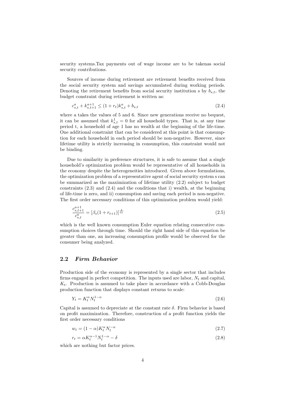security systems.Tax payments out of wage income are to be takenas social security contributions.

Sources of income during retirement are retirement benefits received from the social security system and savings accumulated during working periods. Denoting the retirement benefits from social security institution s by  $b_{s,t}$ , the budget constraint during retirement is written as:

$$
c_{s,t}^a + k_{s,t+1}^{a+1} \le (1 + r_t)k_{s,t}^a + b_{s,t}
$$
\n
$$
(2.4)
$$

where a takes the values of 5 and 6. Since new generations receive no bequest, it can be assumed that  $k_{s,t}^1 = 0$  for all household types. That is, at any time period t, a household of age 1 has no wealth at the beginning of the life-time. One additional constraint that can be considered at this point is that consumption for each household in each period should be non-negative. However, since lifetime utility is strictly increasing in consumption, this constraint would not be binding.

Due to similarity in preference structures, it is safe to assume that a single household's optimization problem would be representative of all households in the economy despite the heterogeneities introduced. Given above formulations, the optimization problem of a representative agent of social security system s can be summarized as the maximization of lifetime utility (2.2) subject to budget constraints (2.3) and (2.4) and the conditions that i) wealth, at the beginning of life-time is zero, and ii) consumption and saving each period is non-negative. The first order necessary conditions of this optimization problem would yield:

$$
\frac{c_{s,t+1}^{a+1}}{c_{s,t}^a} = [\beta_s (1 + r_{t+1})]^{\frac{1}{\eta_s}}
$$
\n(2.5)

which is the well known consumption Euler equation relating consecutive consumption choices through time. Should the right hand side of this equation be greater than one, an increasing consumption profile would be observed for the consumer being analyzed.

#### 2.2 Firm Behavior

Production side of the economy is represented by a single sector that includes firms engaged in perfect competition. The inputs used are labor,  $N_t$  and capital,  $K_t$ . Production is assumed to take place in accordance with a Cobb-Douglas production function that displays constant returns to scale:

$$
Y_t = K_t^{\alpha} N_t^{1-\alpha} \tag{2.6}
$$

Capital is assumed to depreciate at the constant rate  $\delta$ . Firm behavior is based on profit maximization. Therefore, construction of a profit function yields the first order necessary conditions

$$
w_t = (1 - \alpha)K_t^{\alpha} N_t^{-\alpha} \tag{2.7}
$$

$$
r_t = \alpha K_t^{\alpha - 1} N_t^{1 - \alpha} - \delta \tag{2.8}
$$

which are nothing but factor prices.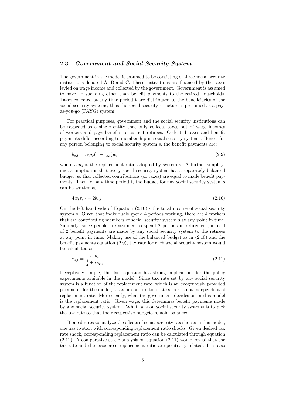#### 2.3 Government and Social Security System

The government in the model is assumed to be consisting of three social security institutions denoted A, B and C. These institutions are financed by the taxes levied on wage income and collected by the government. Government is assumed to have no spending other than benefit payments to the retired households. Taxes collected at any time period t are distributed to the beneficiaries of the social security systems; thus the social security structure is presumed as a payas-you-go (PAYG) system.

For practical purposes, government and the social security institutions can be regarded as a single entity that only collects taxes out of wage incomes of workers and pays benefits to current retirees. Collected taxes and benefit payments differ according to membership in social security systems. Hence, for any person belonging to social security system s, the benefit payments are:

$$
b_{s,t} = rep_s(1 - \tau_{s,t})w_t \tag{2.9}
$$

where  $rep_s$  is the replacement ratio adopted by system s. A further simplifying assumption is that every social security system has a separately balanced budget, so that collected contributions (or taxes) are equal to made benefit payments. Then for any time period t, the budget for any social security system s can be written as:

$$
4w_t \tau_{s,t} = 2b_{s,t} \tag{2.10}
$$

On the left hand side of Equation (2.10)is the total income of social security system s. Given that individuals spend 4 periods working, there are 4 workers that are contributing members of social security system s at any point in time. Similarly, since people are assumed to spend 2 periods in retirement, a total of 2 benefit payments are made by any social security system to the retirees at any point in time. Making use of the balanced budget as in (2.10) and the benefit payments equation (2.9), tax rate for each social security system would be calculated as:

$$
\tau_{s,t} = \frac{rep_s}{\frac{4}{2} + rep_s} \tag{2.11}
$$

Deceptively simple, this last equation has strong implications for the policy experiments available in the model. Since tax rate set by any social security system is a function of the replacement rate, which is an exogenously provided parameter for the model, a tax or contribution rate shock is not independent of replacement rate. More clearly, what the government decides on in this model is the replacement ratio. Given wage, this determines benefit payments made by any social security system. What falls on social security systems is to pick the tax rate so that their respective budgets remain balanced.

If one desires to analyze the effects of social security tax shocks in this model, one has to start with corresponding replacement ratio shocks. Given desired tax rate shock, corresponding replacement ratio can be calculated through equation  $(2.11)$ . A comparative static analysis on equation  $(2.11)$  would reveal that the tax rate and the associated replacement ratio are positively related. It is also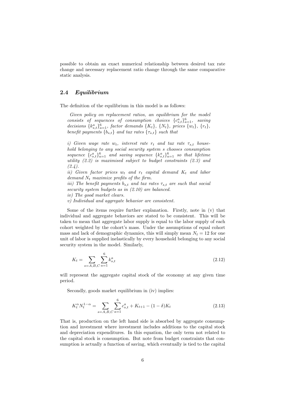possible to obtain an exact numerical relationship between desired tax rate change and necessary replacement ratio change through the same comparative static analysis.

#### 2.4 Equilibrium

The definition of the equilibrium in this model is as follows:

Given policy on replacement ratios, an equilibrium for the model consists of sequences of consumption choices  ${c_{s,t}^a}_{i=1}^6$ , saving decisions  $\{k_{s,t}^a\}_{a=1}^6$ , factor demands  $\{K_t\}$ ,  $\{N_t\}$ , prices  $\{w_t\}$ ,  $\{r_t\}$ , benefit payments  ${b_{s,t}}$  and tax rates  ${\tau_{s,t}}$  such that

i) Given wage rate  $w_t$ , interest rate  $r_t$  and tax rate  $\tau_{s,t}$  household belonging to any social security system s chooses consumption sequence  ${c_{s,t}^a}_{s,t}$ ,  ${c_{s-1}^a}_{a=1}$  and saving sequence  ${k_{s,t}^a}_{a=1}$  so that lifetime utility (2.2) is maximised subject to budget constraints (2.3) and  $(2.4).$ 

ii) Given factor prices  $w_t$  and  $r_t$  capital demand  $K_t$  and labor demand  $N_t$  maximize profits of the firm.

iii) The benefit payments  $b_{s,t}$  and tax rates  $\tau_{s,t}$  are such that social security system budgets as in  $(2.10)$  are balanced.

iv) The good market clears.

v) Individual and aggregate behavior are consistent.

Some of the items require further explanation. Firstly, note in (v) that individual and aggregate behaviors are stated to be consistent. This will be taken to mean that aggregate labor supply is equal to the labor supply of each cohort weighted by the cohort's mass. Under the assumptions of equal cohort mass and lack of demographic dynamics, this will simply mean  $N_t = 12$  for one unit of labor is supplied inelastically by every household belonging to any social security system in the model. Similarly,

$$
K_t = \sum_{s=A,B,C} \sum_{a=1}^{6} k_{s,t}^a \tag{2.12}
$$

will represent the aggregate capital stock of the economy at any given time period.

Secondly, goods market equilibrium in (iv) implies:

$$
K_t^{\alpha} N_t^{1-\alpha} = \sum_{s=A,B,C} \sum_{a=1}^6 c_{s,t}^a + K_{t+1} - (1-\delta)K_t
$$
\n(2.13)

That is, production on the left hand side is absorbed by aggregate consumption and investment where investment includes additions to the capital stock and depreciation expenditures. In this equation, the only term not related to the capital stock is consumption. But note from budget constraints that consumption is actually a function of saving, which eventually is tied to the capital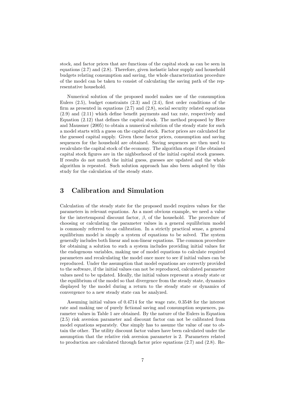stock, and factor prices that are functions of the capital stock as can be seen in equations (2.7) and (2.8). Therefore, given inelastic labor supply and household budgets relating consumption and saving, the whole characterization procedure of the model can be taken to consist of calculating the saving path of the representative household.

Numerical solution of the proposed model makes use of the consumption Eulers  $(2.5)$ , budget constraints  $(2.3)$  and  $(2.4)$ , first order conditions of the firm as presented in equations (2.7) and (2.8), social security related equations (2.9) and (2.11) which define benefit payments and tax rate, respectively and Equation (2.12) that defines the capital stock. The method proposed by Heer and Maussner (2005) to obtain a numerical solution of the steady state for such a model starts with a guess on the capital stock. Factor prices are calculated for the guessed capital supply. Given these factor prices, consumption and saving sequences for the household are obtained. Saving sequences are then used to recalculate the capital stock of the economy. The algorithm stops if the obtained capital stock figures are in the nighborhood of the initial capital stock guesses. If results do not match the initial guess, guesses are updated and the whole algorithm is repeated. Such solution approach has also been adopted by this study for the calculation of the steady state.

## 3 Calibration and Simulation

Calculation of the steady state for the proposed model requires values for the parameters in relevant equations. As a most obvious example, we need a value for the intertemporal discount factor,  $\beta$ , of the household. The procedure of choosing or calculating the parameter values in a general equilibrium model is commonly referred to as calibration. In a strictly practical sense, a general equilibrium model is simply a system of equations to be solved. The system generally includes both linear and non-linear equations. The common procedure for obtaining a solution to such a system includes providing initial values for the endogenous variables, making use of model equations to calculate required parameters and recalculating the model once more to see if initial values can be reproduced. Under the assumption that model equations are correctly provided to the software, if the initial values can not be reproduced, calculated parameter values need to be updated. Ideally, the initial values represent a steady state or the equilibrium of the model so that divergence from the steady state, dynamics displayed by the model during a return to the steady state or dynamics of convergence to a new steady state can be analyzed.

Assuming initial values of 0.4714 for the wage rate, 0.3548 for the interest rate and making use of purely fictional saving and consumption sequences, parameter values in Table 1 are obtained. By the nature of the Eulers in Equation (2.5) risk aversion parameter and discount factor can not be calibrated from model equations separately. One simply has to assume the value of one to obtain the other. The utility discount factor values have been calculated under the assumption that the relative risk aversion parameter is 2. Parameters related to production are calculated through factor price equations (2.7) and (2.8). Re-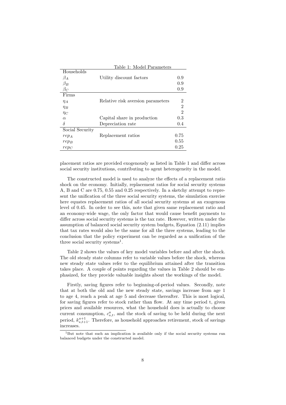|                 | Table 1: Model Parameters         |                |  |  |  |  |
|-----------------|-----------------------------------|----------------|--|--|--|--|
| Households      |                                   |                |  |  |  |  |
| $\beta_A$       | Utility discount factors          | 0.9            |  |  |  |  |
| $\beta_B$       |                                   | 0.9            |  |  |  |  |
| $\beta_C$       |                                   | 0.9            |  |  |  |  |
| Firms           |                                   |                |  |  |  |  |
| $\eta_A$        | Relative risk aversion parameters | 2              |  |  |  |  |
| $\eta_B$        |                                   | $\overline{2}$ |  |  |  |  |
| $\eta_C$        |                                   | $\overline{2}$ |  |  |  |  |
| $\alpha$        | Capital share in production       | 0.3            |  |  |  |  |
| δ               | Depreciation rate                 | 0.4            |  |  |  |  |
| Social Security |                                   |                |  |  |  |  |
| $rep_A$         | Replacement ratios                | 0.75           |  |  |  |  |
| $rep_B$         |                                   | 0.55           |  |  |  |  |
| $rep_C$         |                                   | 0.25           |  |  |  |  |
|                 |                                   |                |  |  |  |  |

placement ratios are provided exogenously as listed in Table 1 and differ across social security institutions, contributing to agent heterogeneity in the model.

The constructed model is used to analyze the effects of a replacement ratio shock on the economy. Initially, replacement ratios for social security systems A, B and C are 0.75, 0.55 and 0.25 respectively. In a sketchy attempt to represent the unification of the three social security systems, the simulation exercise here equates replacement ratios of all social security systems at an exogenous level of 0.45. In order to see this, note that given same replacement ratio and an economy-wide wage, the only factor that would cause benefit payments to differ across social security systems is the tax rate. However, written under the assumption of balanced social security system budgets, Equation (2.11) implies that tax rates would also be the same for all the three systems, leading to the conclusion that the policy experiment can be regarded as a unification of the three social security systems<sup>1</sup>.

Table 2 shows the values of key model variables before and after the shock. The old steady state columns refer to variable values before the shock, whereas new steady state values refer to the equilibrium attained after the transition takes place. A couple of points regarding the values in Table 2 should be emphasized, for they provide valuable insights about the workings of the model.

Firstly, saving figures refer to beginning-of-period values. Secondly, note that at both the old and the new steady state, savings increase from age 1 to age 4, reach a peak at age 5 and decrease thereafter. This is most logical, for saving figures refer to stock rather than flow. At any time period t, given prices and available resources, what the household does is actually to choose current consumption,  $c_{s,t}^a$ , and the stock of saving to be held during the next period,  $k_{s,t+1}^{a+1}$ . Therefore, as household approaches retirement, stock of savings increases.

<sup>&</sup>lt;sup>1</sup>But note that such an implication is available only if the social security systems run balanced budgets under the constructed model.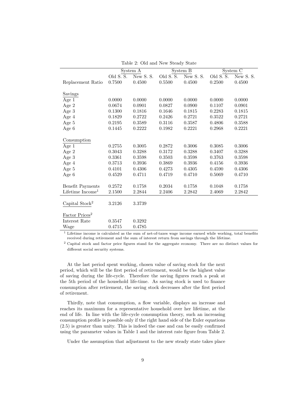|                            | System A  |           | System B               |          | System C                |          |
|----------------------------|-----------|-----------|------------------------|----------|-------------------------|----------|
|                            | Old S. S. | New S. S. | Old $S.\overline{S}$ . | New S.S. | Old S. $\overline{S}$ . | New S.S. |
| Replacement Ratio          | 0.7500    | 0.4500    | 0.5500                 | 0.4500   | 0.2500                  | 0.4500   |
|                            |           |           |                        |          |                         |          |
| Savings                    |           |           |                        |          |                         |          |
| Age 1                      | 0.0000    | 0.0000    | 0.0000                 | 0.0000   | 0.0000                  | 0.0000   |
| Age 2                      | 0.0674    | 0.0901    | 0.0827                 | 0.0900   | 0.1107                  | 0.0901   |
| Age $3$                    | 0.1300    | 0.1816    | 0.1646                 | 0.1815   | 0.2283                  | 0.1815   |
| Age 4                      | 0.1829    | 0.2722    | 0.2426                 | 0.2721   | 0.3522                  | 0.2721   |
| Age 5                      | 0.2195    | 0.3589    | 0.3116                 | 0.3587   | 0.4806                  | 0.3588   |
| Age 6                      | 0.1445    | 0.2222    | 0.1982                 | 0.2221   | 0.2968                  | 0.2221   |
|                            |           |           |                        |          |                         |          |
| Consumption                |           |           |                        |          |                         |          |
| Age 1                      | 0.2755    | 0.3005    | 0.2872                 | 0.3006   | 0.3085                  | 0.3006   |
| Age 2                      | 0.3043    | 0.3288    | 0.3172                 | 0.3288   | 0.3407                  | 0.3288   |
| Age 3                      | 0.3361    | 0.3598    | 0.3503                 | 0.3598   | 0.3763                  | 0.3598   |
| Age 4                      | 0.3713    | 0.3936    | 0.3869                 | 0.3936   | 0.4156                  | 0.3936   |
| Age 5                      | 0.4101    | 0.4306    | 0.4273                 | 0.4305   | 0.4590                  | 0.4306   |
| Age 6                      | 0.4529    | 0.4711    | 0.4719                 | 0.4710   | 0.5069                  | 0.4710   |
|                            |           |           |                        |          |                         |          |
| <b>Benefit Payments</b>    | 0.2572    | 0.1758    | 0.2034                 | 0.1758   | 0.1048                  | 0.1758   |
| Lifetime $Income1$         | 2.1500    | 2.2844    | 2.2406                 | 2.2842   | 2.4069                  | 2.2842   |
|                            |           |           |                        |          |                         |          |
| Capital Stock <sup>2</sup> | 3.2126    | 3.3739    |                        |          |                         |          |
|                            |           |           |                        |          |                         |          |
| Factor Prices <sup>2</sup> |           |           |                        |          |                         |          |
| Interest Rate              | 0.3547    | 0.3292    |                        |          |                         |          |
| Wage                       | 0.4715    | 0.4785    |                        |          |                         |          |

Table 2: Old and New Steady State

 $1$  Lifetime income is calculated as the sum of net-of-taxes wage income earned while working, total benefits received during retirement and the sum of interest return from savings through the lifetime.

<sup>2</sup> Capital stock and factor price figures stand for the aggregate economy. There are no distinct values for different social security systems.

At the last period spent working, chosen value of saving stock for the next period, which will be the first period of retirement, would be the highest value of saving during the life-cycle. Therefore the saving figures reach a peak at the 5th period of the household life-time. As saving stock is used to finance consumption after retirement, the saving stock decreases after the first period of retirement.

Thirdly, note that consumption, a flow variable, displays an increase and reaches its maximum for a representative household over her lifetime, at the end of life. In line with the life-cycle consumption theory, such an increasing consumption profile is possible only if the right hand side of the Euler equations (2.5) is greater than unity. This is indeed the case and can be easily confirmed using the parameter values in Table 1 and the interest rate figure from Table 2.

Under the assumption that adjustment to the new steady state takes place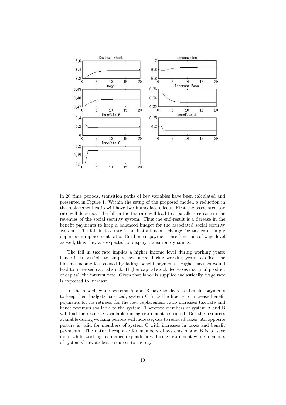

in 20 time periods, transition paths of key variables have been calculated and presented in Figure 1. Within the setup of the proposed model, a reduction in the replacement ratio will have two immediate effects. First the associated tax rate will decrease. The fall in the tax rate will lead to a parallel decrease in the revenues of the social security system. Thus the end-result is a derease in the benefit payments to keep a balanced budget for the associated social security system. The fall in tax rate is an instantaneous change for tax rate simply depends on replacement ratio. But benefit payments are functions of wage level as well; thus they are expected to display transition dynamics.

The fall in tax rate implies a higher income level during working years; hence it is possible to simply save more during working years to offset the lifetime income loss caused by falling benefit payments. Higher savings would lead to increased capital stock. Higher capital stock decreases marginal product of capital, the interest rate. Given that labor is supplied inelastically, wage rate is expected to increase.

In the model, while systems A and B have to decrease benefit payments to keep their budgets balanced, system C finds the liberty to increase benefit payments for its retirees, for the new replacement ratio increases tax rate and hence revenues available to the system. Therefore members of system A and B will find the resources available during retirement restricted. But the resources available during working periods will increase, due to reduced taxes. An opposite picture is valid for members of system C with increases in taxes and benefit payments. The natural response for members of systems A and B is to save more while working to finance expenditures during retirement while members of system C devote less resources to saving.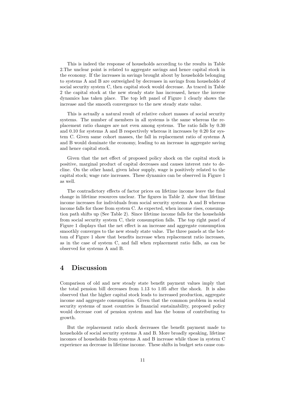This is indeed the response of households according to the results in Table 2.The unclear point is related to aggregate savings and hence capital stock in the economy. If the increases in savings brought about by households belonging to systems A and B are outweighed by decreases in savings from households of social security system C, then capital stock would decrease. As traced in Table 2 the capital stock at the new steady state has increased, hence the inverse dynamics has taken place. The top left panel of Figure 1 clearly shows the increase and the smooth convergence to the new steady state value.

This is actually a natural result of relative cohort masses of social security systems. The number of members in all systems is the same whereas the replacement ratio changes are not even among systems. The ratio falls by 0.30 and 0.10 for systems A and B respectively whereas it increases by 0.20 for system C. Given same cohort masses, the fall in replacement ratio of systems A and B would dominate the economy, leading to an increase in aggregate saving and hence capital stock.

Given that the net effect of proposed policy shock on the capital stock is positive, marginal product of capital decreases and causes interest rate to decline. On the other hand, given labor supply, wage is positively related to the capital stock; wage rate increases. These dynamics can be observed in Figure 1 as well.

The contradictory effects of factor prices on lifetime income leave the final change in lifetime resources unclear. The figures in Table 2. show that lifetime income increases for individuals from social security systems A and B whereas income falls for those from system C. As expected, when income rises, consumption path shifts up (See Table 2). Since lifetime income falls for the households from social security system C, their consumption falls. The top right panel of Figure 1 displays that the net effect is an increase and aggregate consumption smoothly converges to the new steady state value. The three panels at the bottom of Figure 1 show that benefits increase when replacement ratio increases, as in the case of system C, and fall when replacement ratio falls, as can be observed for systems A and B.

### 4 Discussion

Comparison of old and new steady state benefit payment values imply that the total pension bill decreases from 1.13 to 1.05 after the shock. It is also observed that the higher capital stock leads to increased production, aggregate income and aggregate consumption. Given that the common problem in social security systems of most countries is financial sustainability, proposed policy would decrease cost of pension system and has the bonus of contributing to growth.

But the replacement ratio shock decreases the benefit payment made to households of social security systems A and B. More broadly speaking, lifetime incomes of households from systems A and B increase while those in system C experience an decrease in lifetime income. These shifts in budget sets cause con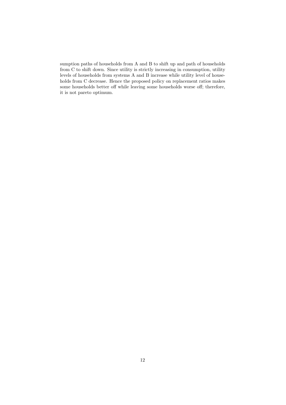sumption paths of households from A and B to shift up and path of households from C to shift down. Since utility is strictly increasing in consumption, utility levels of households from systems A and B increase while utility level of households from C decrease. Hence the proposed policy on replacement ratios makes some households better off while leaving some households worse off; therefore, it is not pareto optimum.